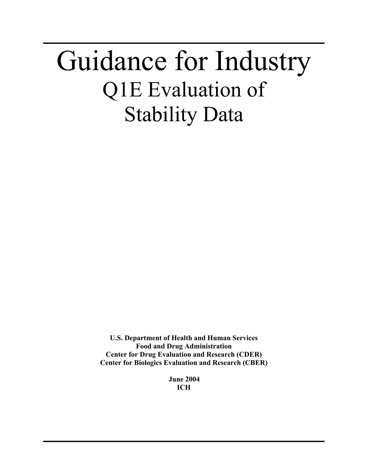## Guidance for Industry Q1E Evaluation of Stability Data

**U.S. Department of Health and Human Services Food and Drug Administration Center for Drug Evaluation and Research (CDER) Center for Biologics Evaluation and Research (CBER)**

> **June 2004 ICH**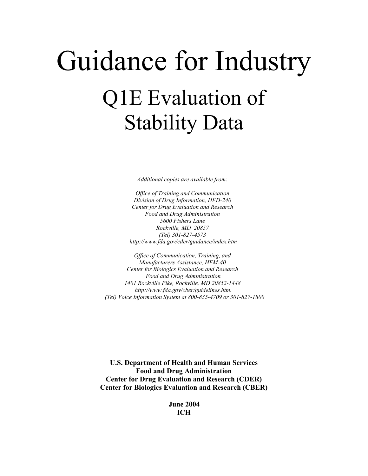# Guidance for Industry Q1E Evaluation of Stability Data

*Additional copies are available from:*

*Office of Training and Communication Division of Drug Information, HFD-240 Center for Drug Evaluation and Research Food and Drug Administration 5600 Fishers Lane Rockville, MD 20857 (Tel) 301-827-4573 http://www.fda.gov/cder/guidance/index.htm*

*Office of Communication, Training, and Manufacturers Assistance, HFM-40 Center for Biologics Evaluation and Research Food and Drug Administration 1401 Rockville Pike, Rockville, MD 20852-1448 http://www.fda.gov/cber/guidelines.htm. (Tel) Voice Information System at 800-835-4709 or 301-827-1800*

**U.S. Department of Health and Human Services Food and Drug Administration Center for Drug Evaluation and Research (CDER) Center for Biologics Evaluation and Research (CBER)**

> **June 2004 ICH**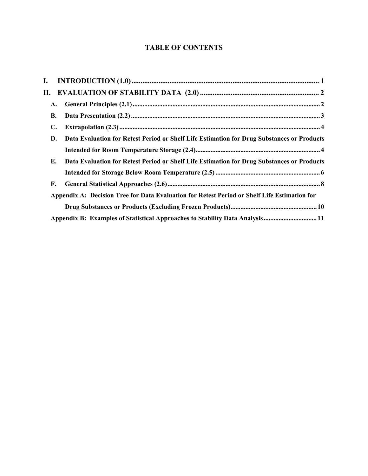## **TABLE OF CONTENTS**

| I.        |                |                                                                                              |  |
|-----------|----------------|----------------------------------------------------------------------------------------------|--|
|           |                |                                                                                              |  |
|           | A.             |                                                                                              |  |
| <b>B.</b> |                |                                                                                              |  |
|           | $\mathbf{C}$ . |                                                                                              |  |
|           | D.             | Data Evaluation for Retest Period or Shelf Life Estimation for Drug Substances or Products   |  |
|           |                |                                                                                              |  |
|           | Е.             | Data Evaluation for Retest Period or Shelf Life Estimation for Drug Substances or Products   |  |
|           |                |                                                                                              |  |
|           | F.             |                                                                                              |  |
|           |                | Appendix A: Decision Tree for Data Evaluation for Retest Period or Shelf Life Estimation for |  |
|           |                |                                                                                              |  |
|           |                | Appendix B: Examples of Statistical Approaches to Stability Data Analysis  11                |  |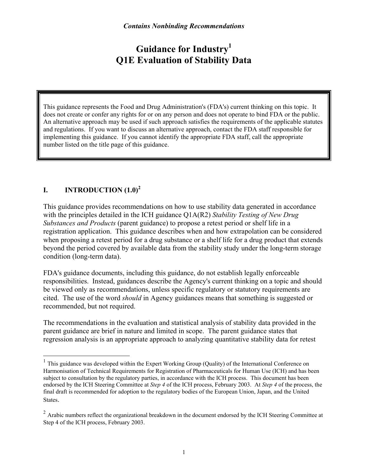## **Guidance for Industry1 Q1E Evaluation of Stability Data**

This guidance represents the Food and Drug Administration's (FDA's) current thinking on this topic. It does not create or confer any rights for or on any person and does not operate to bind FDA or the public. An alternative approach may be used if such approach satisfies the requirements of the applicable statutes and regulations. If you want to discuss an alternative approach, contact the FDA staff responsible for implementing this guidance. If you cannot identify the appropriate FDA staff, call the appropriate number listed on the title page of this guidance.

## **I. INTRODUCTION**  $(1.0)^2$

 $\overline{a}$ 

This guidance provides recommendations on how to use stability data generated in accordance with the principles detailed in the ICH guidance Q1A(R2) *Stability Testing of New Drug Substances and Products* (parent guidance) to propose a retest period or shelf life in a registration application. This guidance describes when and how extrapolation can be considered when proposing a retest period for a drug substance or a shelf life for a drug product that extends beyond the period covered by available data from the stability study under the long-term storage condition (long-term data).

FDA's guidance documents, including this guidance, do not establish legally enforceable responsibilities. Instead, guidances describe the Agency's current thinking on a topic and should be viewed only as recommendations, unless specific regulatory or statutory requirements are cited. The use of the word *should* in Agency guidances means that something is suggested or recommended, but not required.

The recommendations in the evaluation and statistical analysis of stability data provided in the parent guidance are brief in nature and limited in scope. The parent guidance states that regression analysis is an appropriate approach to analyzing quantitative stability data for retest

<sup>&</sup>lt;sup>1</sup> This guidance was developed within the Expert Working Group (Quality) of the International Conference on Harmonisation of Technical Requirements for Registration of Pharmaceuticals for Human Use (ICH) and has been subject to consultation by the regulatory parties, in accordance with the ICH process. This document has been endorsed by the ICH Steering Committee at *Step 4* of the ICH process, February 2003. At *Step 4* of the process, the final draft is recommended for adoption to the regulatory bodies of the European Union, Japan, and the United States.

<sup>&</sup>lt;sup>2</sup> Arabic numbers reflect the organizational breakdown in the document endorsed by the ICH Steering Committee at Step 4 of the ICH process, February 2003.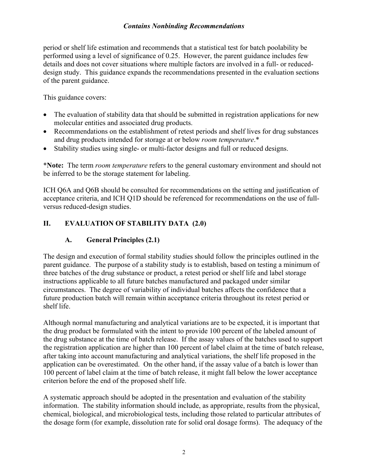period or shelf life estimation and recommends that a statistical test for batch poolability be performed using a level of significance of 0.25. However, the parent guidance includes few details and does not cover situations where multiple factors are involved in a full- or reduceddesign study. This guidance expands the recommendations presented in the evaluation sections of the parent guidance.

This guidance covers:

- The evaluation of stability data that should be submitted in registration applications for new molecular entities and associated drug products.
- Recommendations on the establishment of retest periods and shelf lives for drug substances and drug products intended for storage at or below *room temperature*.\*
- Stability studies using single- or multi-factor designs and full or reduced designs.

\***Note:** The term *room temperature* refers to the general customary environment and should not be inferred to be the storage statement for labeling.

ICH Q6A and Q6B should be consulted for recommendations on the setting and justification of acceptance criteria, and ICH Q1D should be referenced for recommendations on the use of fullversus reduced-design studies.

## **II. EVALUATION OF STABILITY DATA (2.0)**

#### **A. General Principles (2.1)**

The design and execution of formal stability studies should follow the principles outlined in the parent guidance. The purpose of a stability study is to establish, based on testing a minimum of three batches of the drug substance or product, a retest period or shelf life and label storage instructions applicable to all future batches manufactured and packaged under similar circumstances. The degree of variability of individual batches affects the confidence that a future production batch will remain within acceptance criteria throughout its retest period or shelf life.

Although normal manufacturing and analytical variations are to be expected, it is important that the drug product be formulated with the intent to provide 100 percent of the labeled amount of the drug substance at the time of batch release. If the assay values of the batches used to support the registration application are higher than 100 percent of label claim at the time of batch release, after taking into account manufacturing and analytical variations, the shelf life proposed in the application can be overestimated. On the other hand, if the assay value of a batch is lower than 100 percent of label claim at the time of batch release, it might fall below the lower acceptance criterion before the end of the proposed shelf life.

A systematic approach should be adopted in the presentation and evaluation of the stability information. The stability information should include, as appropriate, results from the physical, chemical, biological, and microbiological tests, including those related to particular attributes of the dosage form (for example, dissolution rate for solid oral dosage forms). The adequacy of the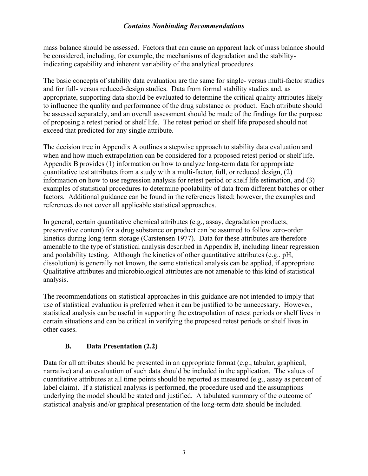mass balance should be assessed. Factors that can cause an apparent lack of mass balance should be considered, including, for example, the mechanisms of degradation and the stabilityindicating capability and inherent variability of the analytical procedures.

The basic concepts of stability data evaluation are the same for single- versus multi-factor studies and for full- versus reduced-design studies. Data from formal stability studies and, as appropriate, supporting data should be evaluated to determine the critical quality attributes likely to influence the quality and performance of the drug substance or product. Each attribute should be assessed separately, and an overall assessment should be made of the findings for the purpose of proposing a retest period or shelf life. The retest period or shelf life proposed should not exceed that predicted for any single attribute.

The decision tree in Appendix A outlines a stepwise approach to stability data evaluation and when and how much extrapolation can be considered for a proposed retest period or shelf life. Appendix B provides (1) information on how to analyze long-term data for appropriate quantitative test attributes from a study with a multi-factor, full, or reduced design, (2) information on how to use regression analysis for retest period or shelf life estimation, and (3) examples of statistical procedures to determine poolability of data from different batches or other factors. Additional guidance can be found in the references listed; however, the examples and references do not cover all applicable statistical approaches.

In general, certain quantitative chemical attributes (e.g., assay, degradation products, preservative content) for a drug substance or product can be assumed to follow zero-order kinetics during long-term storage (Carstensen 1977). Data for these attributes are therefore amenable to the type of statistical analysis described in Appendix B, including linear regression and poolability testing. Although the kinetics of other quantitative attributes (e.g., pH, dissolution) is generally not known, the same statistical analysis can be applied, if appropriate. Qualitative attributes and microbiological attributes are not amenable to this kind of statistical analysis.

The recommendations on statistical approaches in this guidance are not intended to imply that use of statistical evaluation is preferred when it can be justified to be unnecessary. However, statistical analysis can be useful in supporting the extrapolation of retest periods or shelf lives in certain situations and can be critical in verifying the proposed retest periods or shelf lives in other cases.

#### **B. Data Presentation (2.2)**

Data for all attributes should be presented in an appropriate format (e.g., tabular, graphical, narrative) and an evaluation of such data should be included in the application. The values of quantitative attributes at all time points should be reported as measured (e.g., assay as percent of label claim). If a statistical analysis is performed, the procedure used and the assumptions underlying the model should be stated and justified. A tabulated summary of the outcome of statistical analysis and/or graphical presentation of the long-term data should be included.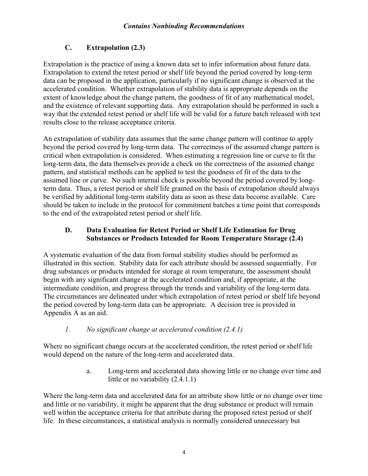## **C. Extrapolation (2.3)**

Extrapolation is the practice of using a known data set to infer information about future data. Extrapolation to extend the retest period or shelf life beyond the period covered by long-term data can be proposed in the application, particularly if no significant change is observed at the accelerated condition. Whether extrapolation of stability data is appropriate depends on the extent of knowledge about the change pattern, the goodness of fit of any mathematical model, and the existence of relevant supporting data. Any extrapolation should be performed in such a way that the extended retest period or shelf life will be valid for a future batch released with test results close to the release acceptance criteria.

An extrapolation of stability data assumes that the same change pattern will continue to apply beyond the period covered by long-term data. The correctness of the assumed change pattern is critical when extrapolation is considered. When estimating a regression line or curve to fit the long-term data, the data themselves provide a check on the correctness of the assumed change pattern, and statistical methods can be applied to test the goodness of fit of the data to the assumed line or curve. No such internal check is possible beyond the period covered by longterm data. Thus, a retest period or shelf life granted on the basis of extrapolation should always be verified by additional long-term stability data as soon as these data become available. Care should be taken to include in the protocol for commitment batches a time point that corresponds to the end of the extrapolated retest period or shelf life.

#### **D. Data Evaluation for Retest Period or Shelf Life Estimation for Drug Substances or Products Intended for Room Temperature Storage (2.4)**

A systematic evaluation of the data from formal stability studies should be performed as illustrated in this section. Stability data for each attribute should be assessed sequentially. For drug substances or products intended for storage at room temperature, the assessment should begin with any significant change at the accelerated condition and, if appropriate, at the intermediate condition, and progress through the trends and variability of the long-term data. The circumstances are delineated under which extrapolation of retest period or shelf life beyond the period covered by long-term data can be appropriate. A decision tree is provided in Appendix A as an aid.

## *1. No significant change at accelerated condition (2.4.1)*

Where no significant change occurs at the accelerated condition, the retest period or shelf life would depend on the nature of the long-term and accelerated data.

> a. Long-term and accelerated data showing little or no change over time and little or no variability (2.4.1.1)

Where the long-term data and accelerated data for an attribute show little or no change over time and little or no variability, it might be apparent that the drug substance or product will remain well within the acceptance criteria for that attribute during the proposed retest period or shelf life. In these circumstances, a statistical analysis is normally considered unnecessary but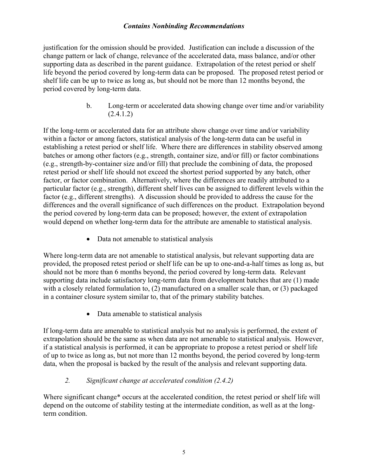justification for the omission should be provided. Justification can include a discussion of the change pattern or lack of change, relevance of the accelerated data, mass balance, and/or other supporting data as described in the parent guidance. Extrapolation of the retest period or shelf life beyond the period covered by long-term data can be proposed. The proposed retest period or shelf life can be up to twice as long as, but should not be more than 12 months beyond, the period covered by long-term data.

> b. Long-term or accelerated data showing change over time and/or variability (2.4.1.2)

If the long-term or accelerated data for an attribute show change over time and/or variability within a factor or among factors, statistical analysis of the long-term data can be useful in establishing a retest period or shelf life. Where there are differences in stability observed among batches or among other factors (e.g., strength, container size, and/or fill) or factor combinations (e.g., strength-by-container size and/or fill) that preclude the combining of data, the proposed retest period or shelf life should not exceed the shortest period supported by any batch, other factor, or factor combination. Alternatively, where the differences are readily attributed to a particular factor (e.g., strength), different shelf lives can be assigned to different levels within the factor (e.g., different strengths). A discussion should be provided to address the cause for the differences and the overall significance of such differences on the product. Extrapolation beyond the period covered by long-term data can be proposed; however, the extent of extrapolation would depend on whether long-term data for the attribute are amenable to statistical analysis.

• Data not amenable to statistical analysis

Where long-term data are not amenable to statistical analysis, but relevant supporting data are provided, the proposed retest period or shelf life can be up to one-and-a-half times as long as, but should not be more than 6 months beyond, the period covered by long-term data. Relevant supporting data include satisfactory long-term data from development batches that are (1) made with a closely related formulation to, (2) manufactured on a smaller scale than, or (3) packaged in a container closure system similar to, that of the primary stability batches.

• Data amenable to statistical analysis

If long-term data are amenable to statistical analysis but no analysis is performed, the extent of extrapolation should be the same as when data are not amenable to statistical analysis. However, if a statistical analysis is performed, it can be appropriate to propose a retest period or shelf life of up to twice as long as, but not more than 12 months beyond, the period covered by long-term data, when the proposal is backed by the result of the analysis and relevant supporting data.

#### *2. Significant change at accelerated condition (2.4.2)*

Where significant change\* occurs at the accelerated condition, the retest period or shelf life will depend on the outcome of stability testing at the intermediate condition, as well as at the longterm condition.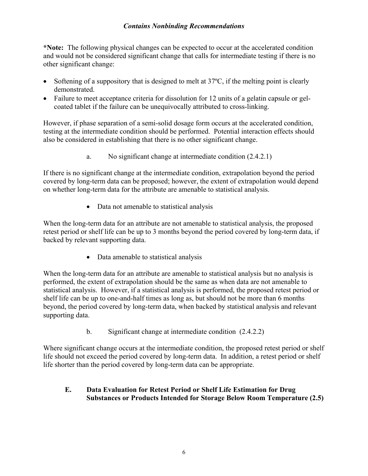**\*Note:** The following physical changes can be expected to occur at the accelerated condition and would not be considered significant change that calls for intermediate testing if there is no other significant change:

- Softening of a suppository that is designed to melt at 37<sup>o</sup>C, if the melting point is clearly demonstrated.
- Failure to meet acceptance criteria for dissolution for 12 units of a gelatin capsule or gelcoated tablet if the failure can be unequivocally attributed to cross-linking.

However, if phase separation of a semi-solid dosage form occurs at the accelerated condition, testing at the intermediate condition should be performed. Potential interaction effects should also be considered in establishing that there is no other significant change.

a. No significant change at intermediate condition (2.4.2.1)

If there is no significant change at the intermediate condition, extrapolation beyond the period covered by long-term data can be proposed; however, the extent of extrapolation would depend on whether long-term data for the attribute are amenable to statistical analysis.

• Data not amenable to statistical analysis

When the long-term data for an attribute are not amenable to statistical analysis, the proposed retest period or shelf life can be up to 3 months beyond the period covered by long-term data, if backed by relevant supporting data.

• Data amenable to statistical analysis

When the long-term data for an attribute are amenable to statistical analysis but no analysis is performed, the extent of extrapolation should be the same as when data are not amenable to statistical analysis. However, if a statistical analysis is performed, the proposed retest period or shelf life can be up to one-and-half times as long as, but should not be more than 6 months beyond, the period covered by long-term data, when backed by statistical analysis and relevant supporting data.

b. Significant change at intermediate condition (2.4.2.2)

Where significant change occurs at the intermediate condition, the proposed retest period or shelf life should not exceed the period covered by long-term data. In addition, a retest period or shelf life shorter than the period covered by long-term data can be appropriate.

#### **E. Data Evaluation for Retest Period or Shelf Life Estimation for Drug Substances or Products Intended for Storage Below Room Temperature (2.5)**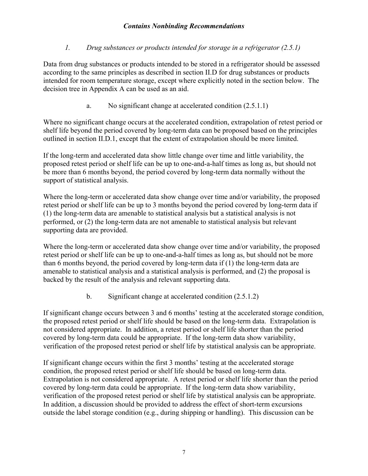#### *1. Drug substances or products intended for storage in a refrigerator (2.5.1)*

Data from drug substances or products intended to be stored in a refrigerator should be assessed according to the same principles as described in section II.D for drug substances or products intended for room temperature storage, except where explicitly noted in the section below. The decision tree in Appendix A can be used as an aid.

a. No significant change at accelerated condition (2.5.1.1)

Where no significant change occurs at the accelerated condition, extrapolation of retest period or shelf life beyond the period covered by long-term data can be proposed based on the principles outlined in section II.D.1, except that the extent of extrapolation should be more limited.

If the long-term and accelerated data show little change over time and little variability, the proposed retest period or shelf life can be up to one-and-a-half times as long as, but should not be more than 6 months beyond, the period covered by long-term data normally without the support of statistical analysis.

Where the long-term or accelerated data show change over time and/or variability, the proposed retest period or shelf life can be up to 3 months beyond the period covered by long-term data if (1) the long-term data are amenable to statistical analysis but a statistical analysis is not performed, or (2) the long-term data are not amenable to statistical analysis but relevant supporting data are provided.

Where the long-term or accelerated data show change over time and/or variability, the proposed retest period or shelf life can be up to one-and-a-half times as long as, but should not be more than 6 months beyond, the period covered by long-term data if (1) the long-term data are amenable to statistical analysis and a statistical analysis is performed, and (2) the proposal is backed by the result of the analysis and relevant supporting data.

b. Significant change at accelerated condition (2.5.1.2)

If significant change occurs between 3 and 6 months' testing at the accelerated storage condition, the proposed retest period or shelf life should be based on the long-term data. Extrapolation is not considered appropriate. In addition, a retest period or shelf life shorter than the period covered by long-term data could be appropriate. If the long-term data show variability, verification of the proposed retest period or shelf life by statistical analysis can be appropriate.

If significant change occurs within the first 3 months' testing at the accelerated storage condition, the proposed retest period or shelf life should be based on long-term data. Extrapolation is not considered appropriate. A retest period or shelf life shorter than the period covered by long-term data could be appropriate. If the long-term data show variability, verification of the proposed retest period or shelf life by statistical analysis can be appropriate. In addition, a discussion should be provided to address the effect of short-term excursions outside the label storage condition (e.g., during shipping or handling). This discussion can be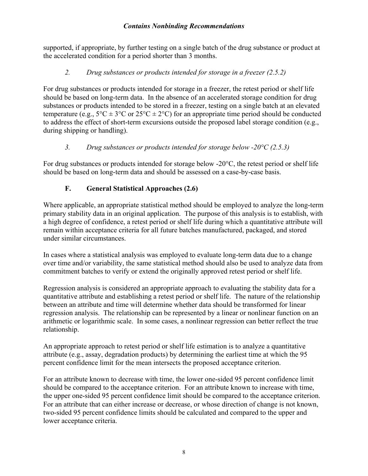supported, if appropriate, by further testing on a single batch of the drug substance or product at the accelerated condition for a period shorter than 3 months.

## *2. Drug substances or products intended for storage in a freezer (2.5.2)*

For drug substances or products intended for storage in a freezer, the retest period or shelf life should be based on long-term data. In the absence of an accelerated storage condition for drug substances or products intended to be stored in a freezer, testing on a single batch at an elevated temperature (e.g.,  $5^{\circ}C \pm 3^{\circ}C$  or  $25^{\circ}C \pm 2^{\circ}C$ ) for an appropriate time period should be conducted to address the effect of short-term excursions outside the proposed label storage condition (e.g., during shipping or handling).

## *3. Drug substances or products intended for storage below -20°C (2.5.3)*

For drug substances or products intended for storage below -20°C, the retest period or shelf life should be based on long-term data and should be assessed on a case-by-case basis.

## **F. General Statistical Approaches (2.6)**

Where applicable, an appropriate statistical method should be employed to analyze the long-term primary stability data in an original application. The purpose of this analysis is to establish, with a high degree of confidence, a retest period or shelf life during which a quantitative attribute will remain within acceptance criteria for all future batches manufactured, packaged, and stored under similar circumstances.

In cases where a statistical analysis was employed to evaluate long-term data due to a change over time and/or variability, the same statistical method should also be used to analyze data from commitment batches to verify or extend the originally approved retest period or shelf life.

Regression analysis is considered an appropriate approach to evaluating the stability data for a quantitative attribute and establishing a retest period or shelf life. The nature of the relationship between an attribute and time will determine whether data should be transformed for linear regression analysis. The relationship can be represented by a linear or nonlinear function on an arithmetic or logarithmic scale. In some cases, a nonlinear regression can better reflect the true relationship.

An appropriate approach to retest period or shelf life estimation is to analyze a quantitative attribute (e.g., assay, degradation products) by determining the earliest time at which the 95 percent confidence limit for the mean intersects the proposed acceptance criterion.

For an attribute known to decrease with time, the lower one-sided 95 percent confidence limit should be compared to the acceptance criterion. For an attribute known to increase with time, the upper one-sided 95 percent confidence limit should be compared to the acceptance criterion. For an attribute that can either increase or decrease, or whose direction of change is not known, two-sided 95 percent confidence limits should be calculated and compared to the upper and lower acceptance criteria.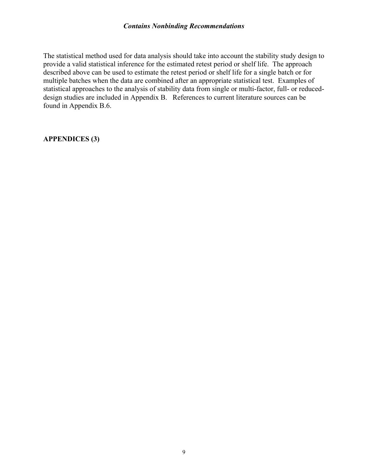The statistical method used for data analysis should take into account the stability study design to provide a valid statistical inference for the estimated retest period or shelf life. The approach described above can be used to estimate the retest period or shelf life for a single batch or for multiple batches when the data are combined after an appropriate statistical test. Examples of statistical approaches to the analysis of stability data from single or multi-factor, full- or reduceddesign studies are included in Appendix B. References to current literature sources can be found in Appendix B.6.

#### **APPENDICES (3)**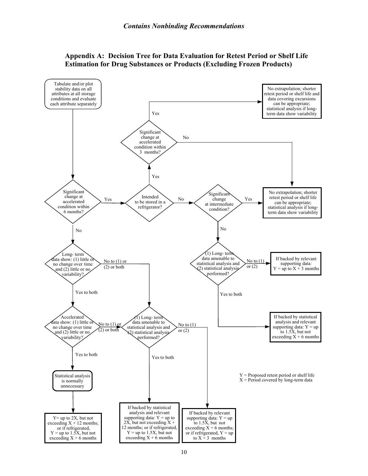

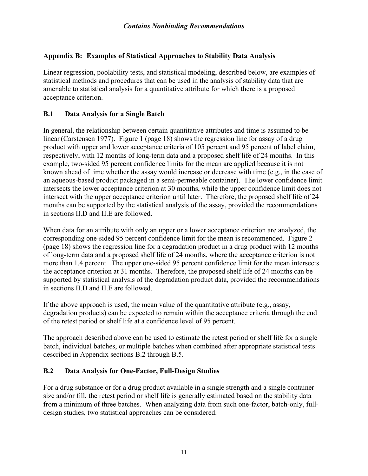#### **Appendix B: Examples of Statistical Approaches to Stability Data Analysis**

Linear regression, poolability tests, and statistical modeling, described below, are examples of statistical methods and procedures that can be used in the analysis of stability data that are amenable to statistical analysis for a quantitative attribute for which there is a proposed acceptance criterion.

#### **B.1 Data Analysis for a Single Batch**

In general, the relationship between certain quantitative attributes and time is assumed to be linear(Carstensen 1977). Figure 1 (page 18) shows the regression line for assay of a drug product with upper and lower acceptance criteria of 105 percent and 95 percent of label claim, respectively, with 12 months of long-term data and a proposed shelf life of 24 months. In this example, two-sided 95 percent confidence limits for the mean are applied because it is not known ahead of time whether the assay would increase or decrease with time (e.g., in the case of an aqueous-based product packaged in a semi-permeable container). The lower confidence limit intersects the lower acceptance criterion at 30 months, while the upper confidence limit does not intersect with the upper acceptance criterion until later. Therefore, the proposed shelf life of 24 months can be supported by the statistical analysis of the assay, provided the recommendations in sections II.D and II.E are followed.

When data for an attribute with only an upper or a lower acceptance criterion are analyzed, the corresponding one-sided 95 percent confidence limit for the mean is recommended. Figure 2 (page 18) shows the regression line for a degradation product in a drug product with 12 months of long-term data and a proposed shelf life of 24 months, where the acceptance criterion is not more than 1.4 percent. The upper one-sided 95 percent confidence limit for the mean intersects the acceptance criterion at 31 months. Therefore, the proposed shelf life of 24 months can be supported by statistical analysis of the degradation product data, provided the recommendations in sections II.D and II.E are followed.

If the above approach is used, the mean value of the quantitative attribute (e.g., assay, degradation products) can be expected to remain within the acceptance criteria through the end of the retest period or shelf life at a confidence level of 95 percent.

The approach described above can be used to estimate the retest period or shelf life for a single batch, individual batches, or multiple batches when combined after appropriate statistical tests described in Appendix sections B.2 through B.5.

#### **B.2 Data Analysis for One-Factor, Full-Design Studies**

For a drug substance or for a drug product available in a single strength and a single container size and/or fill, the retest period or shelf life is generally estimated based on the stability data from a minimum of three batches. When analyzing data from such one-factor, batch-only, fulldesign studies, two statistical approaches can be considered.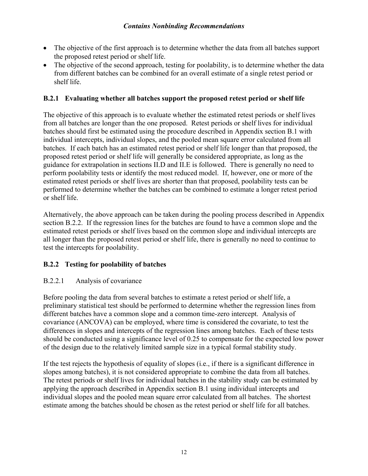- The objective of the first approach is to determine whether the data from all batches support the proposed retest period or shelf life.
- The objective of the second approach, testing for poolability, is to determine whether the data from different batches can be combined for an overall estimate of a single retest period or shelf life.

#### **B.2.1 Evaluating whether all batches support the proposed retest period or shelf life**

The objective of this approach is to evaluate whether the estimated retest periods or shelf lives from all batches are longer than the one proposed. Retest periods or shelf lives for individual batches should first be estimated using the procedure described in Appendix section B.1 with individual intercepts, individual slopes, and the pooled mean square error calculated from all batches. If each batch has an estimated retest period or shelf life longer than that proposed, the proposed retest period or shelf life will generally be considered appropriate, as long as the guidance for extrapolation in sections II.D and II.E is followed. There is generally no need to perform poolability tests or identify the most reduced model. If, however, one or more of the estimated retest periods or shelf lives are shorter than that proposed, poolability tests can be performed to determine whether the batches can be combined to estimate a longer retest period or shelf life.

Alternatively, the above approach can be taken during the pooling process described in Appendix section B.2.2. If the regression lines for the batches are found to have a common slope and the estimated retest periods or shelf lives based on the common slope and individual intercepts are all longer than the proposed retest period or shelf life, there is generally no need to continue to test the intercepts for poolability.

## **B.2.2 Testing for poolability of batches**

## B.2.2.1 Analysis of covariance

Before pooling the data from several batches to estimate a retest period or shelf life, a preliminary statistical test should be performed to determine whether the regression lines from different batches have a common slope and a common time-zero intercept. Analysis of covariance (ANCOVA) can be employed, where time is considered the covariate, to test the differences in slopes and intercepts of the regression lines among batches. Each of these tests should be conducted using a significance level of 0.25 to compensate for the expected low power of the design due to the relatively limited sample size in a typical formal stability study.

If the test rejects the hypothesis of equality of slopes (i.e., if there is a significant difference in slopes among batches), it is not considered appropriate to combine the data from all batches. The retest periods or shelf lives for individual batches in the stability study can be estimated by applying the approach described in Appendix section B.1 using individual intercepts and individual slopes and the pooled mean square error calculated from all batches. The shortest estimate among the batches should be chosen as the retest period or shelf life for all batches.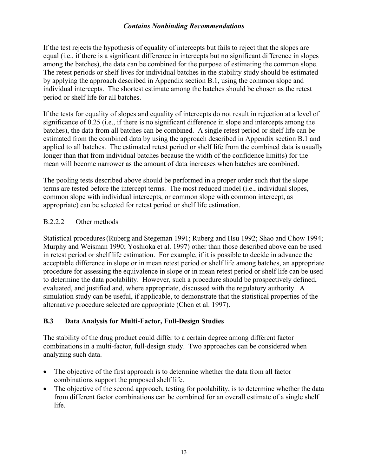If the test rejects the hypothesis of equality of intercepts but fails to reject that the slopes are equal (i.e., if there is a significant difference in intercepts but no significant difference in slopes among the batches), the data can be combined for the purpose of estimating the common slope. The retest periods or shelf lives for individual batches in the stability study should be estimated by applying the approach described in Appendix section B.1, using the common slope and individual intercepts. The shortest estimate among the batches should be chosen as the retest period or shelf life for all batches.

If the tests for equality of slopes and equality of intercepts do not result in rejection at a level of significance of 0.25 (i.e., if there is no significant difference in slope and intercepts among the batches), the data from all batches can be combined. A single retest period or shelf life can be estimated from the combined data by using the approach described in Appendix section B.1 and applied to all batches. The estimated retest period or shelf life from the combined data is usually longer than that from individual batches because the width of the confidence limit(s) for the mean will become narrower as the amount of data increases when batches are combined.

The pooling tests described above should be performed in a proper order such that the slope terms are tested before the intercept terms. The most reduced model (i.e., individual slopes, common slope with individual intercepts, or common slope with common intercept, as appropriate) can be selected for retest period or shelf life estimation.

#### B.2.2.2 Other methods

Statistical procedures(Ruberg and Stegeman 1991; Ruberg and Hsu 1992; Shao and Chow 1994; Murphy and Weisman 1990; Yoshioka et al. 1997) other than those described above can be used in retest period or shelf life estimation. For example, if it is possible to decide in advance the acceptable difference in slope or in mean retest period or shelf life among batches, an appropriate procedure for assessing the equivalence in slope or in mean retest period or shelf life can be used to determine the data poolability. However, such a procedure should be prospectively defined, evaluated, and justified and, where appropriate, discussed with the regulatory authority. A simulation study can be useful, if applicable, to demonstrate that the statistical properties of the alternative procedure selected are appropriate (Chen et al. 1997).

#### **B.3 Data Analysis for Multi-Factor, Full-Design Studies**

The stability of the drug product could differ to a certain degree among different factor combinations in a multi-factor, full-design study. Two approaches can be considered when analyzing such data.

- The objective of the first approach is to determine whether the data from all factor combinations support the proposed shelf life.
- The objective of the second approach, testing for poolability, is to determine whether the data from different factor combinations can be combined for an overall estimate of a single shelf life.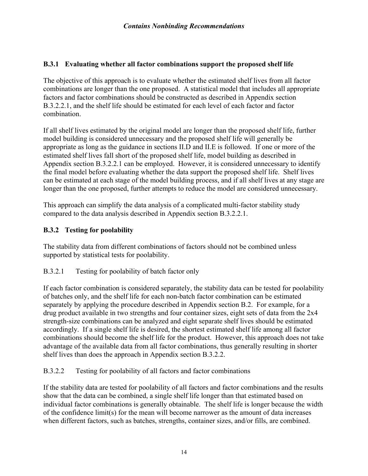#### **B.3.1 Evaluating whether all factor combinations support the proposed shelf life**

The objective of this approach is to evaluate whether the estimated shelf lives from all factor combinations are longer than the one proposed. A statistical model that includes all appropriate factors and factor combinations should be constructed as described in Appendix section B.3.2.2.1, and the shelf life should be estimated for each level of each factor and factor combination.

If all shelf lives estimated by the original model are longer than the proposed shelf life, further model building is considered unnecessary and the proposed shelf life will generally be appropriate as long as the guidance in sections II.D and II.E is followed. If one or more of the estimated shelf lives fall short of the proposed shelf life, model building as described in Appendix section B.3.2.2.1 can be employed. However, it is considered unnecessary to identify the final model before evaluating whether the data support the proposed shelf life. Shelf lives can be estimated at each stage of the model building process, and if all shelf lives at any stage are longer than the one proposed, further attempts to reduce the model are considered unnecessary.

This approach can simplify the data analysis of a complicated multi-factor stability study compared to the data analysis described in Appendix section B.3.2.2.1.

#### **B.3.2 Testing for poolability**

The stability data from different combinations of factors should not be combined unless supported by statistical tests for poolability.

B.3.2.1 Testing for poolability of batch factor only

If each factor combination is considered separately, the stability data can be tested for poolability of batches only, and the shelf life for each non-batch factor combination can be estimated separately by applying the procedure described in Appendix section B.2. For example, for a drug product available in two strengths and four container sizes, eight sets of data from the 2x4 strength-size combinations can be analyzed and eight separate shelf lives should be estimated accordingly. If a single shelf life is desired, the shortest estimated shelf life among all factor combinations should become the shelf life for the product. However, this approach does not take advantage of the available data from all factor combinations, thus generally resulting in shorter shelf lives than does the approach in Appendix section B.3.2.2.

B.3.2.2 Testing for poolability of all factors and factor combinations

If the stability data are tested for poolability of all factors and factor combinations and the results show that the data can be combined, a single shelf life longer than that estimated based on individual factor combinations is generally obtainable. The shelf life is longer because the width of the confidence limit(s) for the mean will become narrower as the amount of data increases when different factors, such as batches, strengths, container sizes, and/or fills, are combined.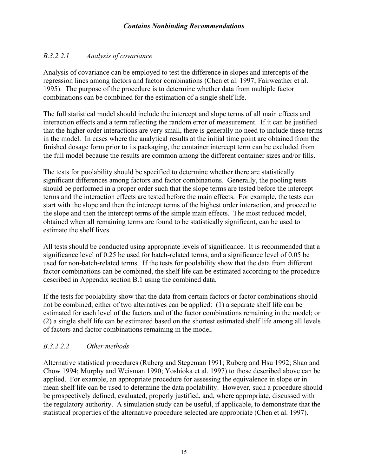#### *B.3.2.2.1 Analysis of covariance*

Analysis of covariance can be employed to test the difference in slopes and intercepts of the regression lines among factors and factor combinations (Chen et al. 1997; Fairweather et al. 1995). The purpose of the procedure is to determine whether data from multiple factor combinations can be combined for the estimation of a single shelf life.

The full statistical model should include the intercept and slope terms of all main effects and interaction effects and a term reflecting the random error of measurement. If it can be justified that the higher order interactions are very small, there is generally no need to include these terms in the model. In cases where the analytical results at the initial time point are obtained from the finished dosage form prior to its packaging, the container intercept term can be excluded from the full model because the results are common among the different container sizes and/or fills.

The tests for poolability should be specified to determine whether there are statistically significant differences among factors and factor combinations. Generally, the pooling tests should be performed in a proper order such that the slope terms are tested before the intercept terms and the interaction effects are tested before the main effects. For example, the tests can start with the slope and then the intercept terms of the highest order interaction, and proceed to the slope and then the intercept terms of the simple main effects. The most reduced model, obtained when all remaining terms are found to be statistically significant, can be used to estimate the shelf lives.

All tests should be conducted using appropriate levels of significance. It is recommended that a significance level of 0.25 be used for batch-related terms, and a significance level of 0.05 be used for non-batch-related terms. If the tests for poolability show that the data from different factor combinations can be combined, the shelf life can be estimated according to the procedure described in Appendix section B.1 using the combined data.

If the tests for poolability show that the data from certain factors or factor combinations should not be combined, either of two alternatives can be applied: (1) a separate shelf life can be estimated for each level of the factors and of the factor combinations remaining in the model; or (2) a single shelf life can be estimated based on the shortest estimated shelf life among all levels of factors and factor combinations remaining in the model.

#### *B.3.2.2.2 Other methods*

Alternative statistical procedures (Ruberg and Stegeman 1991; Ruberg and Hsu 1992; Shao and Chow 1994; Murphy and Weisman 1990; Yoshioka et al. 1997) to those described above can be applied. For example, an appropriate procedure for assessing the equivalence in slope or in mean shelf life can be used to determine the data poolability. However, such a procedure should be prospectively defined, evaluated, properly justified, and, where appropriate, discussed with the regulatory authority. A simulation study can be useful, if applicable, to demonstrate that the statistical properties of the alternative procedure selected are appropriate (Chen et al. 1997).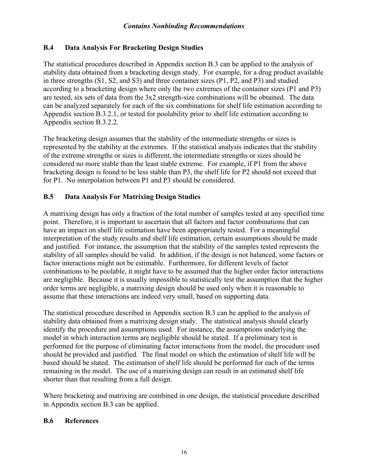#### **B.4 Data Analysis For Bracketing Design Studies**

The statistical procedures described in Appendix section B.3 can be applied to the analysis of stability data obtained from a bracketing design study. For example, for a drug product available in three strengths (S1, S2, and S3) and three container sizes (P1, P2, and P3) and studied according to a bracketing design where only the two extremes of the container sizes (P1 and P3) are tested, six sets of data from the 3x2 strength-size combinations will be obtained. The data can be analyzed separately for each of the six combinations for shelf life estimation according to Appendix section B.3.2.1, or tested for poolability prior to shelf life estimation according to Appendix section B.3.2.2.

The bracketing design assumes that the stability of the intermediate strengths or sizes is represented by the stability at the extremes. If the statistical analysis indicates that the stability of the extreme strengths or sizes is different, the intermediate strengths or sizes should be considered no more stable than the least stable extreme. For example, if P1 from the above bracketing design is found to be less stable than P3, the shelf life for P2 should not exceed that for P1. No interpolation between P1 and P3 should be considered.

#### **B.5 Data Analysis For Matrixing Design Studies**

A matrixing design has only a fraction of the total number of samples tested at any specified time point. Therefore, it is important to ascertain that all factors and factor combinations that can have an impact on shelf life estimation have been appropriately tested. For a meaningful interpretation of the study results and shelf life estimation, certain assumptions should be made and justified. For instance, the assumption that the stability of the samples tested represents the stability of all samples should be valid. In addition, if the design is not balanced, some factors or factor interactions might not be estimable. Furthermore, for different levels of factor combinations to be poolable, it might have to be assumed that the higher order factor interactions are negligible. Because it is usually impossible to statistically test the assumption that the higher order terms are negligible, a matrixing design should be used only when it is reasonable to assume that these interactions are indeed very small, based on supporting data.

The statistical procedure described in Appendix section B.3 can be applied to the analysis of stability data obtained from a matrixing design study. The statistical analysis should clearly identify the procedure and assumptions used. For instance, the assumptions underlying the model in which interaction terms are negligible should be stated. If a preliminary test is performed for the purpose of eliminating factor interactions from the model, the procedure used should be provided and justified. The final model on which the estimation of shelf life will be based should be stated. The estimation of shelf life should be performed for each of the terms remaining in the model. The use of a matrixing design can result in an estimated shelf life shorter than that resulting from a full design.

Where bracketing and matrixing are combined in one design, the statistical procedure described in Appendix section B.3 can be applied.

#### **B.6 References**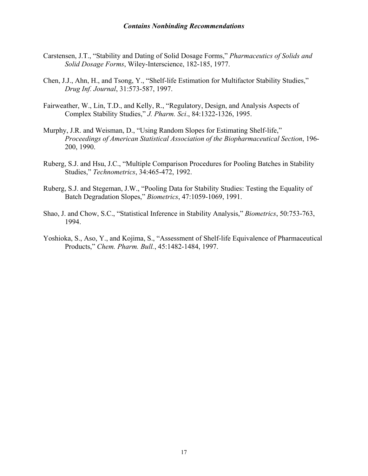- Carstensen, J.T., "Stability and Dating of Solid Dosage Forms," *Pharmaceutics of Solids and Solid Dosage Forms*, Wiley-Interscience, 182-185, 1977.
- Chen, J.J., Ahn, H., and Tsong, Y., "Shelf-life Estimation for Multifactor Stability Studies," *Drug Inf. Journal*, 31:573-587, 1997.
- Fairweather, W., Lin, T.D., and Kelly, R., "Regulatory, Design, and Analysis Aspects of Complex Stability Studies," *J. Pharm. Sci*., 84:1322-1326, 1995.
- Murphy, J.R. and Weisman, D., "Using Random Slopes for Estimating Shelf-life," *Proceedings of American Statistical Association of the Biopharmaceutical Section*, 196- 200, 1990.
- Ruberg, S.J. and Hsu, J.C., "Multiple Comparison Procedures for Pooling Batches in Stability Studies," *Technometrics*, 34:465-472, 1992.
- Ruberg, S.J. and Stegeman, J.W., "Pooling Data for Stability Studies: Testing the Equality of Batch Degradation Slopes," *Biometrics*, 47:1059-1069, 1991.
- Shao, J. and Chow, S.C., "Statistical Inference in Stability Analysis," *Biometrics*, 50:753-763, 1994.
- Yoshioka, S., Aso, Y., and Kojima, S., "Assessment of Shelf-life Equivalence of Pharmaceutical Products," *Chem. Pharm. Bull.*, 45:1482-1484, 1997.